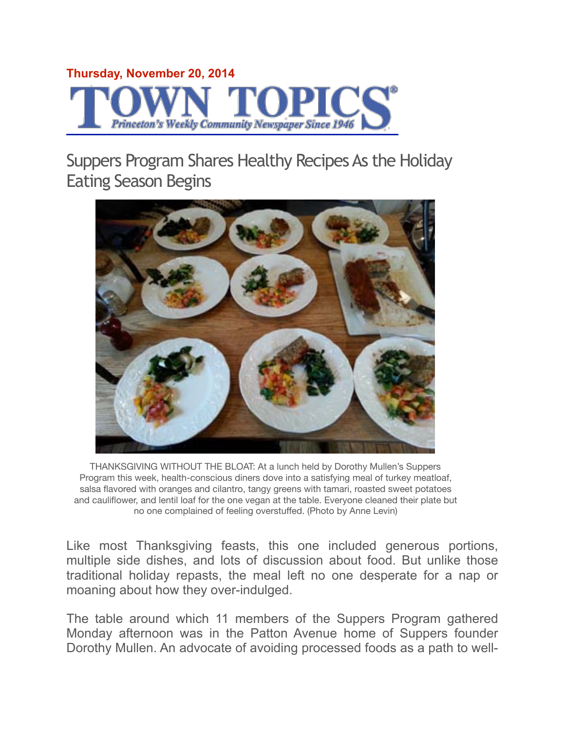## **Thursday, November 20, 2014** Princeton's Weekly Community Newspaper Since 194

Suppers Program Shares Healthy Recipes As the Holiday Eating Season Begins



THANKSGIVING WITHOUT THE BLOAT: At a lunch held by Dorothy Mullen's Suppers Program this week, health-conscious diners dove into a satisfying meal of turkey meatloaf, salsa flavored with oranges and cilantro, tangy greens with tamari, roasted sweet potatoes and cauliflower, and lentil loaf for the one vegan at the table. Everyone cleaned their plate but no one complained of feeling overstuffed. (Photo by Anne Levin)

Like most Thanksgiving feasts, this one included generous portions, multiple side dishes, and lots of discussion about food. But unlike those traditional holiday repasts, the meal left no one desperate for a nap or moaning about how they over-indulged.

The table around which 11 members of the Suppers Program gathered Monday afternoon was in the Patton Avenue home of Suppers founder Dorothy Mullen. An advocate of avoiding processed foods as a path to well-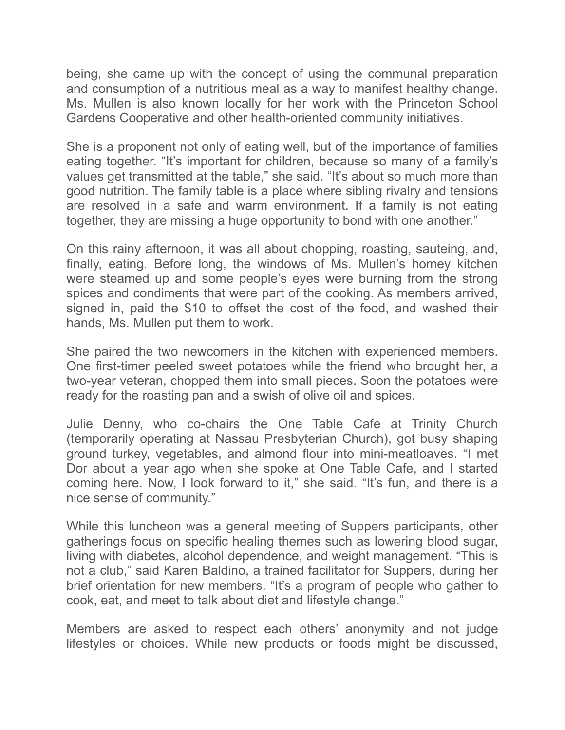being, she came up with the concept of using the communal preparation and consumption of a nutritious meal as a way to manifest healthy change. Ms. Mullen is also known locally for her work with the Princeton School Gardens Cooperative and other health-oriented community initiatives.

She is a proponent not only of eating well, but of the importance of families eating together. "It's important for children, because so many of a family's values get transmitted at the table," she said. "It's about so much more than good nutrition. The family table is a place where sibling rivalry and tensions are resolved in a safe and warm environment. If a family is not eating together, they are missing a huge opportunity to bond with one another."

On this rainy afternoon, it was all about chopping, roasting, sauteing, and, finally, eating. Before long, the windows of Ms. Mullen's homey kitchen were steamed up and some people's eyes were burning from the strong spices and condiments that were part of the cooking. As members arrived, signed in, paid the \$10 to offset the cost of the food, and washed their hands, Ms. Mullen put them to work.

She paired the two newcomers in the kitchen with experienced members. One first-timer peeled sweet potatoes while the friend who brought her, a two-year veteran, chopped them into small pieces. Soon the potatoes were ready for the roasting pan and a swish of olive oil and spices.

Julie Denny, who co-chairs the One Table Cafe at Trinity Church (temporarily operating at Nassau Presbyterian Church), got busy shaping ground turkey, vegetables, and almond flour into mini-meatloaves. "I met Dor about a year ago when she spoke at One Table Cafe, and I started coming here. Now, I look forward to it," she said. "It's fun, and there is a nice sense of community."

While this luncheon was a general meeting of Suppers participants, other gatherings focus on specific healing themes such as lowering blood sugar, living with diabetes, alcohol dependence, and weight management. "This is not a club," said Karen Baldino, a trained facilitator for Suppers, during her brief orientation for new members. "It's a program of people who gather to cook, eat, and meet to talk about diet and lifestyle change."

Members are asked to respect each others' anonymity and not judge lifestyles or choices. While new products or foods might be discussed,